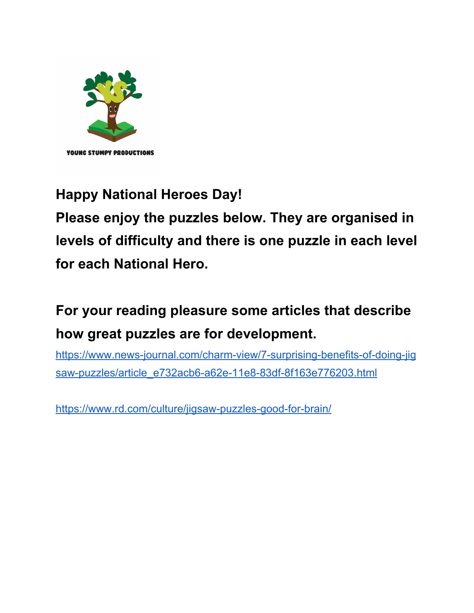

### **Happy National Heroes Day!**

**Please enjoy the puzzles below. They are organised in levels of difficulty and there is one puzzle in each level for each National Hero.**

### **For your reading pleasure some articles that describe how great puzzles are for development.**

[https://www.news-journal.com/charm-view/7-surprising-benefits-of-doing-jig](https://www.news-journal.com/charm-view/7-surprising-benefits-of-doing-jigsaw-puzzles/article_e732acb6-a62e-11e8-83df-8f163e776203.html) [saw-puzzles/article\\_e732acb6-a62e-11e8-83df-8f163e776203.html](https://www.news-journal.com/charm-view/7-surprising-benefits-of-doing-jigsaw-puzzles/article_e732acb6-a62e-11e8-83df-8f163e776203.html)

<https://www.rd.com/culture/jigsaw-puzzles-good-for-brain/>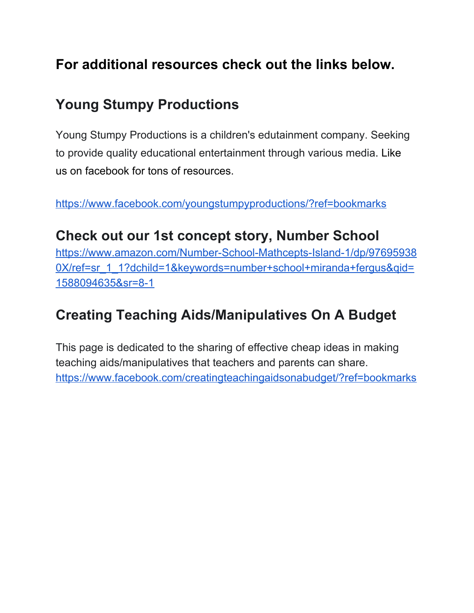### **For additional resources check out the links below.**

#### **Young Stumpy Productions**

Young Stumpy Productions is a children's edutainment company. Seeking to provide quality educational entertainment through various media. Like us on facebook for tons of resources.

<https://www.facebook.com/youngstumpyproductions/?ref=bookmarks>

#### **Check out our 1st concept story, Number School**

[https://www.amazon.com/Number-School-Mathcepts-Island-1/dp/97695938](https://www.amazon.com/Number-School-Mathcepts-Island-1/dp/976959380X/ref=sr_1_1?dchild=1&keywords=number+school+miranda+fergus&qid=1588094635&sr=8-1) 0X/ref=sr\_1\_1?dchild=1&keywords=number+school+miranda+fergus&gid= [1588094635&sr=8-1](https://www.amazon.com/Number-School-Mathcepts-Island-1/dp/976959380X/ref=sr_1_1?dchild=1&keywords=number+school+miranda+fergus&qid=1588094635&sr=8-1)

### **Creating Teaching Aids/Manipulatives On A Budget**

This page is dedicated to the sharing of effective cheap ideas in making teaching aids/manipulatives that teachers and parents can share. <https://www.facebook.com/creatingteachingaidsonabudget/?ref=bookmarks>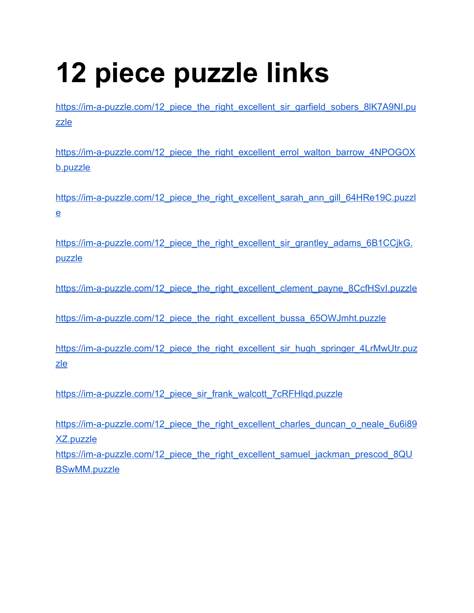# **12 piece puzzle links**

[https://im-a-puzzle.com/12\\_piece\\_the\\_right\\_excellent\\_sir\\_garfield\\_sobers\\_8lK7A9NI.pu](https://im-a-puzzle.com/12_piece_the_right_excellent_sir_garfield_sobers_8lK7A9NI.puzzle) [zzle](https://im-a-puzzle.com/12_piece_the_right_excellent_sir_garfield_sobers_8lK7A9NI.puzzle)

[https://im-a-puzzle.com/12\\_piece\\_the\\_right\\_excellent\\_errol\\_walton\\_barrow\\_4NPOGOX](https://im-a-puzzle.com/12_piece_the_right_excellent_errol_walton_barrow_4NPOGOXb.puzzle) [b.puzzle](https://im-a-puzzle.com/12_piece_the_right_excellent_errol_walton_barrow_4NPOGOXb.puzzle)

[https://im-a-puzzle.com/12\\_piece\\_the\\_right\\_excellent\\_sarah\\_ann\\_gill\\_64HRe19C.puzzl](https://im-a-puzzle.com/12_piece_the_right_excellent_sarah_ann_gill_64HRe19C.puzzle) [e](https://im-a-puzzle.com/12_piece_the_right_excellent_sarah_ann_gill_64HRe19C.puzzle)

[https://im-a-puzzle.com/12\\_piece\\_the\\_right\\_excellent\\_sir\\_grantley\\_adams\\_6B1CCjkG.](https://im-a-puzzle.com/12_piece_the_right_excellent_sir_grantley_adams_6B1CCjkG.puzzle) [puzzle](https://im-a-puzzle.com/12_piece_the_right_excellent_sir_grantley_adams_6B1CCjkG.puzzle)

[https://im-a-puzzle.com/12\\_piece\\_the\\_right\\_excellent\\_clement\\_payne\\_8CcfHSvI.puzzle](https://im-a-puzzle.com/12_piece_the_right_excellent_clement_payne_8CcfHSvI.puzzle)

[https://im-a-puzzle.com/12\\_piece\\_the\\_right\\_excellent\\_bussa\\_65OWJmht.puzzle](https://im-a-puzzle.com/12_piece_the_right_excellent_bussa_65OWJmht.puzzle)

[https://im-a-puzzle.com/12\\_piece\\_the\\_right\\_excellent\\_sir\\_hugh\\_springer\\_4LrMwUtr.puz](https://im-a-puzzle.com/12_piece_the_right_excellent_sir_hugh_springer_4LrMwUtr.puzzle) [zle](https://im-a-puzzle.com/12_piece_the_right_excellent_sir_hugh_springer_4LrMwUtr.puzzle)

[https://im-a-puzzle.com/12\\_piece\\_sir\\_frank\\_walcott\\_7cRFHlqd.puzzle](https://im-a-puzzle.com/12_piece_sir_frank_walcott_7cRFHlqd.puzzle)

https://im-a-puzzle.com/12 piece the right excellent charles duncan o neale 6u6i89 [XZ.puzzle](https://im-a-puzzle.com/12_piece_the_right_excellent_charles_duncan_o_neale_6u6i89XZ.puzzle) [https://im-a-puzzle.com/12\\_piece\\_the\\_right\\_excellent\\_samuel\\_jackman\\_prescod\\_8QU](https://im-a-puzzle.com/12_piece_the_right_excellent_samuel_jackman_prescod_8QUBSwMM.puzzle)

[BSwMM.puzzle](https://im-a-puzzle.com/12_piece_the_right_excellent_samuel_jackman_prescod_8QUBSwMM.puzzle)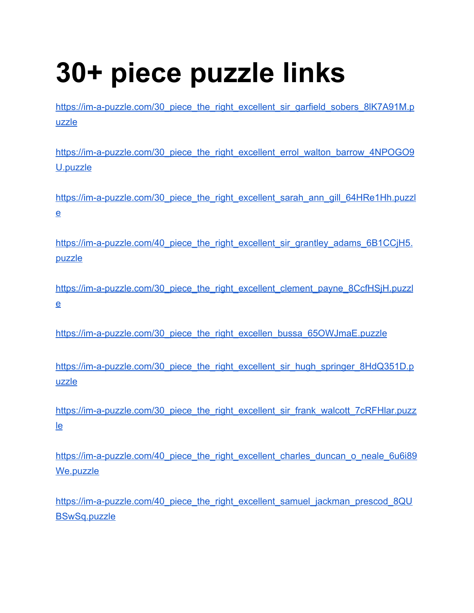## **30+ piece puzzle links**

[https://im-a-puzzle.com/30\\_piece\\_the\\_right\\_excellent\\_sir\\_garfield\\_sobers\\_8lK7A91M.p](https://im-a-puzzle.com/30_piece_the_right_excellent_sir_garfield_sobers_8lK7A91M.puzzle) [uzzle](https://im-a-puzzle.com/30_piece_the_right_excellent_sir_garfield_sobers_8lK7A91M.puzzle)

[https://im-a-puzzle.com/30\\_piece\\_the\\_right\\_excellent\\_errol\\_walton\\_barrow\\_4NPOGO9](https://im-a-puzzle.com/30_piece_the_right_excellent_errol_walton_barrow_4NPOGO9U.puzzle) [U.puzzle](https://im-a-puzzle.com/30_piece_the_right_excellent_errol_walton_barrow_4NPOGO9U.puzzle)

[https://im-a-puzzle.com/30\\_piece\\_the\\_right\\_excellent\\_sarah\\_ann\\_gill\\_64HRe1Hh.puzzl](https://im-a-puzzle.com/30_piece_the_right_excellent_sarah_ann_gill_64HRe1Hh.puzzle) [e](https://im-a-puzzle.com/30_piece_the_right_excellent_sarah_ann_gill_64HRe1Hh.puzzle)

[https://im-a-puzzle.com/40\\_piece\\_the\\_right\\_excellent\\_sir\\_grantley\\_adams\\_6B1CCjH5.](https://im-a-puzzle.com/40_piece_the_right_excellent_sir_grantley_adams_6B1CCjH5.puzzle) [puzzle](https://im-a-puzzle.com/40_piece_the_right_excellent_sir_grantley_adams_6B1CCjH5.puzzle)

[https://im-a-puzzle.com/30\\_piece\\_the\\_right\\_excellent\\_clement\\_payne\\_8CcfHSjH.puzzl](https://im-a-puzzle.com/30_piece_the_right_excellent_clement_payne_8CcfHSjH.puzzle) [e](https://im-a-puzzle.com/30_piece_the_right_excellent_clement_payne_8CcfHSjH.puzzle)

[https://im-a-puzzle.com/30\\_piece\\_the\\_right\\_excellen\\_bussa\\_65OWJmaE.puzzle](https://im-a-puzzle.com/30_piece_the_right_excellen_bussa_65OWJmaE.puzzle)

[https://im-a-puzzle.com/30\\_piece\\_the\\_right\\_excellent\\_sir\\_hugh\\_springer\\_8HdQ351D.p](https://im-a-puzzle.com/30_piece_the_right_excellent_sir_hugh_springer_8HdQ351D.puzzle) [uzzle](https://im-a-puzzle.com/30_piece_the_right_excellent_sir_hugh_springer_8HdQ351D.puzzle)

[https://im-a-puzzle.com/30\\_piece\\_the\\_right\\_excellent\\_sir\\_frank\\_walcott\\_7cRFHlar.puzz](https://im-a-puzzle.com/30_piece_the_right_excellent_sir_frank_walcott_7cRFHlar.puzzle) [le](https://im-a-puzzle.com/30_piece_the_right_excellent_sir_frank_walcott_7cRFHlar.puzzle)

[https://im-a-puzzle.com/40\\_piece\\_the\\_right\\_excellent\\_charles\\_duncan\\_o\\_neale\\_6u6i89](https://im-a-puzzle.com/40_piece_the_right_excellent_charles_duncan_o_neale_6u6i89We.puzzle) [We.puzzle](https://im-a-puzzle.com/40_piece_the_right_excellent_charles_duncan_o_neale_6u6i89We.puzzle)

[https://im-a-puzzle.com/40\\_piece\\_the\\_right\\_excellent\\_samuel\\_jackman\\_prescod\\_8QU](https://im-a-puzzle.com/40_piece_the_right_excellent_samuel_jackman_prescod_8QUBSwSq.puzzle) [BSwSq.puzzle](https://im-a-puzzle.com/40_piece_the_right_excellent_samuel_jackman_prescod_8QUBSwSq.puzzle)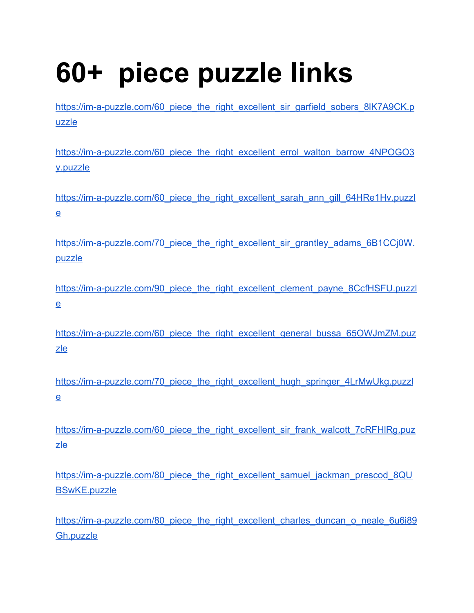# **60+ piece puzzle links**

[https://im-a-puzzle.com/60\\_piece\\_the\\_right\\_excellent\\_sir\\_garfield\\_sobers\\_8lK7A9CK.p](https://im-a-puzzle.com/60_piece_the_right_excellent_sir_garfield_sobers_8lK7A9CK.puzzle) [uzzle](https://im-a-puzzle.com/60_piece_the_right_excellent_sir_garfield_sobers_8lK7A9CK.puzzle)

[https://im-a-puzzle.com/60\\_piece\\_the\\_right\\_excellent\\_errol\\_walton\\_barrow\\_4NPOGO3](https://im-a-puzzle.com/60_piece_the_right_excellent_errol_walton_barrow_4NPOGO3y.puzzle) [y.puzzle](https://im-a-puzzle.com/60_piece_the_right_excellent_errol_walton_barrow_4NPOGO3y.puzzle)

[https://im-a-puzzle.com/60\\_piece\\_the\\_right\\_excellent\\_sarah\\_ann\\_gill\\_64HRe1Hv.puzzl](https://im-a-puzzle.com/60_piece_the_right_excellent_sarah_ann_gill_64HRe1Hv.puzzle) [e](https://im-a-puzzle.com/60_piece_the_right_excellent_sarah_ann_gill_64HRe1Hv.puzzle)

[https://im-a-puzzle.com/70\\_piece\\_the\\_right\\_excellent\\_sir\\_grantley\\_adams\\_6B1CCj0W.](https://im-a-puzzle.com/70_piece_the_right_excellent_sir_grantley_adams_6B1CCj0W.puzzle) [puzzle](https://im-a-puzzle.com/70_piece_the_right_excellent_sir_grantley_adams_6B1CCj0W.puzzle)

[https://im-a-puzzle.com/90\\_piece\\_the\\_right\\_excellent\\_clement\\_payne\\_8CcfHSFU.puzzl](https://im-a-puzzle.com/90_piece_the_right_excellent_clement_payne_8CcfHSFU.puzzle) [e](https://im-a-puzzle.com/90_piece_the_right_excellent_clement_payne_8CcfHSFU.puzzle)

[https://im-a-puzzle.com/60\\_piece\\_the\\_right\\_excellent\\_general\\_bussa\\_65OWJmZM.puz](https://im-a-puzzle.com/60_piece_the_right_excellent_general_bussa_65OWJmZM.puzzle) [zle](https://im-a-puzzle.com/60_piece_the_right_excellent_general_bussa_65OWJmZM.puzzle)

[https://im-a-puzzle.com/70\\_piece\\_the\\_right\\_excellent\\_hugh\\_springer\\_4LrMwUkg.puzzl](https://im-a-puzzle.com/70_piece_the_right_excellent_hugh_springer_4LrMwUkg.puzzle) [e](https://im-a-puzzle.com/70_piece_the_right_excellent_hugh_springer_4LrMwUkg.puzzle)

[https://im-a-puzzle.com/60\\_piece\\_the\\_right\\_excellent\\_sir\\_frank\\_walcott\\_7cRFHlRg.puz](https://im-a-puzzle.com/60_piece_the_right_excellent_sir_frank_walcott_7cRFHlRg.puzzle) [zle](https://im-a-puzzle.com/60_piece_the_right_excellent_sir_frank_walcott_7cRFHlRg.puzzle)

[https://im-a-puzzle.com/80\\_piece\\_the\\_right\\_excellent\\_samuel\\_jackman\\_prescod\\_8QU](https://im-a-puzzle.com/80_piece_the_right_excellent_samuel_jackman_prescod_8QUBSwKE.puzzle) [BSwKE.puzzle](https://im-a-puzzle.com/80_piece_the_right_excellent_samuel_jackman_prescod_8QUBSwKE.puzzle)

[https://im-a-puzzle.com/80\\_piece\\_the\\_right\\_excellent\\_charles\\_duncan\\_o\\_neale\\_6u6i89](https://im-a-puzzle.com/80_piece_the_right_excellent_charles_duncan_o_neale_6u6i89Gh.puzzle) [Gh.puzzle](https://im-a-puzzle.com/80_piece_the_right_excellent_charles_duncan_o_neale_6u6i89Gh.puzzle)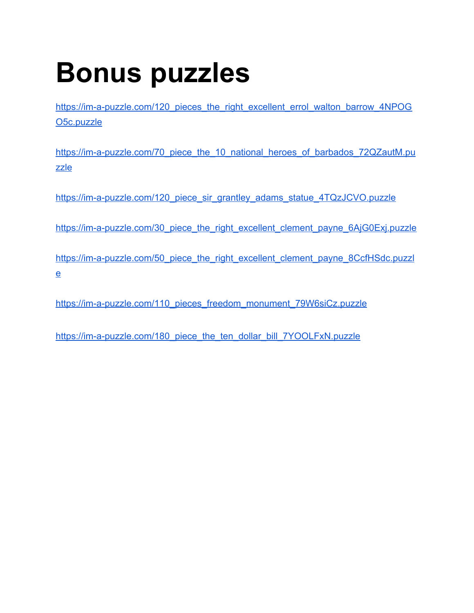### **Bonus puzzles**

[https://im-a-puzzle.com/120\\_pieces\\_the\\_right\\_excellent\\_errol\\_walton\\_barrow\\_4NPOG](https://im-a-puzzle.com/120_pieces_the_right_excellent_errol_walton_barrow_4NPOGO5c.puzzle) [O5c.puzzle](https://im-a-puzzle.com/120_pieces_the_right_excellent_errol_walton_barrow_4NPOGO5c.puzzle)

[https://im-a-puzzle.com/70\\_piece\\_the\\_10\\_national\\_heroes\\_of\\_barbados\\_72QZautM.pu](https://im-a-puzzle.com/70_piece_the_10_national_heroes_of_barbados_72QZautM.puzzle) [zzle](https://im-a-puzzle.com/70_piece_the_10_national_heroes_of_barbados_72QZautM.puzzle)

[https://im-a-puzzle.com/120\\_piece\\_sir\\_grantley\\_adams\\_statue\\_4TQzJCVO.puzzle](https://im-a-puzzle.com/120_piece_sir_grantley_adams_statue_4TQzJCVO.puzzle)

[https://im-a-puzzle.com/30\\_piece\\_the\\_right\\_excellent\\_clement\\_payne\\_6AjG0Exj.puzzle](https://im-a-puzzle.com/30_piece_the_right_excellent_clement_payne_6AjG0Exj.puzzle)

[https://im-a-puzzle.com/50\\_piece\\_the\\_right\\_excellent\\_clement\\_payne\\_8CcfHSdc.puzzl](https://im-a-puzzle.com/50_piece_the_right_excellent_clement_payne_8CcfHSdc.puzzle) [e](https://im-a-puzzle.com/50_piece_the_right_excellent_clement_payne_8CcfHSdc.puzzle)

[https://im-a-puzzle.com/110\\_pieces\\_freedom\\_monument\\_79W6siCz.puzzle](https://im-a-puzzle.com/110_pieces_freedom_monument_79W6siCz.puzzle)

[https://im-a-puzzle.com/180\\_piece\\_the\\_ten\\_dollar\\_bill\\_7YOOLFxN.puzzle](https://im-a-puzzle.com/180_piece_the_ten_dollar_bill_7YOOLFxN.puzzle)